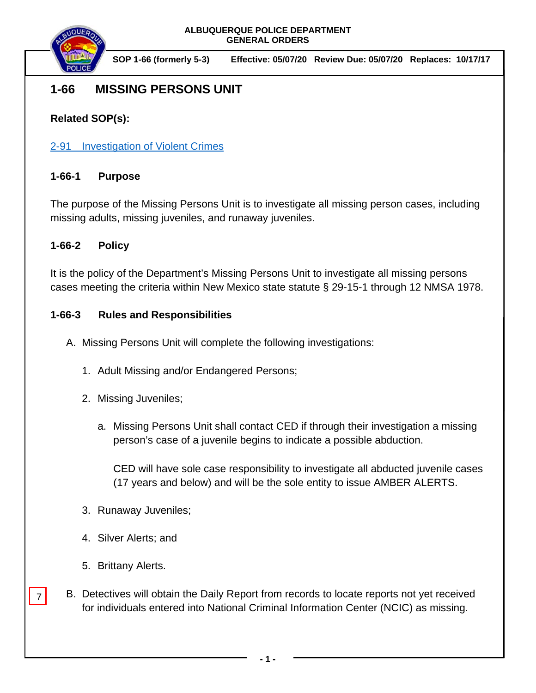

**SOP 1-66 (formerly 5-3) Effective: 05/07/20 Review Due: 05/07/20 Replaces: 10/17/17**

# **1-66 MISSING PERSONS UNIT**

## **Related SOP(s):**

2-91 [Investigation of Violent Crimes](https://powerdms.com/link/IDS/document/?id=111)

#### **1-66-1 Purpose**

The purpose of the Missing Persons Unit is to investigate all missing person cases, including missing adults, missing juveniles, and runaway juveniles.

#### **1-66-2 Policy**

It is the policy of the Department's Missing Persons Unit to investigate all missing persons cases meeting the criteria within New Mexico state statute § 29-15-1 through 12 NMSA 1978.

### **1-66-3 Rules and Responsibilities**

- A. Missing Persons Unit will complete the following investigations:
	- 1. Adult Missing and/or Endangered Persons;
	- 2. Missing Juveniles;
		- a. Missing Persons Unit shall contact CED if through their investigation a missing person's case of a juvenile begins to indicate a possible abduction.

CED will have sole case responsibility to investigate all abducted juvenile cases (17 years and below) and will be the sole entity to issue AMBER ALERTS.

- 3. Runaway Juveniles;
- 4. Silver Alerts; and
- 5. Brittany Alerts.
- B. Detectives will obtain the Daily Report from records to locate reports not yet received for individuals entered into National Criminal Information Center (NCIC) as missing. 7